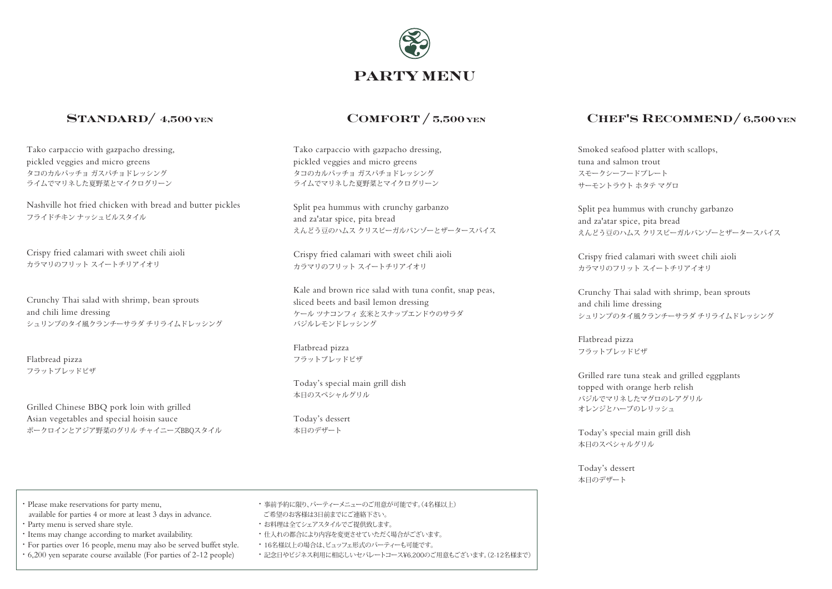

### STANDARD/ 4,500 YEN

Tako carpaccio with gazpacho dressing, pickled veggies and micro greens タコのカルパッチョ ガスパチョドレッシング ライムでマリネした夏野菜とマイクログリーン

Nashville hot fried chicken with bread and butter pickles フライドチキン ナッシュビルスタイル

Crispy fried calamari with sweet chili aioli カラマリのフリット スイートチリアイオリ

Crunchy Thai salad with shrimp, bean sprouts and chili lime dressing シュリンプのタイ風クランチーサラダ チリライムドレッシング

Flatbread pizza フラットブレッドピザ

Grilled Chinese BBQ pork loin with grilled Asian vegetables and special hoisin sauce ポークロインとアジア野菜のグリル チャイニーズBBQスタイル

Tako carpaccio with gazpacho dressing, pickled veggies and micro greens タコのカルパッチョ ガスパチョドレッシング ライムでマリネした夏野菜とマイクログリーン

Split pea hummus with crunchy garbanzo and za'atar spice, pita bread えんどう豆のハムス クリスピーガルバンゾーとザータースパイス

Crispy fried calamari with sweet chili aioli カラマリのフリット スイートチリアイオリ

Kale and brown rice salad with tuna confit, snap peas, sliced beets and basil lemon dressing ケール ツナコンフィ 玄米とスナップエンドウのサラダ バジルレモンドレッシング

Flatbread pizza フラットブレッドピザ

Today's special main grill dish 本日のスペシャルグリル

Today's dessert 本日のデザート

### $COMFORM / 5,500$  yen CHEF'S RECOMMEND/ 6,500 yen

Smoked seafood platter with scallops, tuna and salmon trout スモークシーフードプレート サーモントラウト ホタテ マグロ

Split pea hummus with crunchy garbanzo and za'atar spice, pita bread えんどう豆のハムス クリスピーガルバンゾーとザータースパイス

Crispy fried calamari with sweet chili aioli カラマリのフリット スイートチリアイオリ

Crunchy Thai salad with shrimp, bean sprouts and chili lime dressing シュリンプのタイ風クランチーサラダ チリライムドレッシング

Flatbread pizza フラットブレッドピザ

Grilled rare tuna steak and grilled eggplants topped with orange herb relish バジルでマリネしたマグロのレアグリル オレンジとハーブのレリッシュ

Today's special main grill dish 本日のスペシャルグリル

Today's dessert 本日のデザート

- ・ Please make reservations for party menu,
- available for parties 4 or more at least 3 days in advance.
- ・ Party menu is served share style.
- ・ Items may change according to market availability.
- ・ For parties over 16 people, menu may also be served buffet style.
- ・ 6,200 yen separate course available (For parties of 2-12 people)
- ・ 事前予約に限り、パーティーメニューのご用意が可能です。(4名様以上)
- ご希望のお客様は3日前までにご連絡下さい。
- ・ お料理は全てシェアスタイルでご提供致します。
- ・ 仕入れの都合により内容を変更させていただく場合がございます。
- ・ 16名様以上の場合は、ビュッフェ形式のパーティーも可能です。
- ・ 記念日やビジネス利用に相応しいセパレートコース¥6,200のご用意もございます。(2-12名様まで)